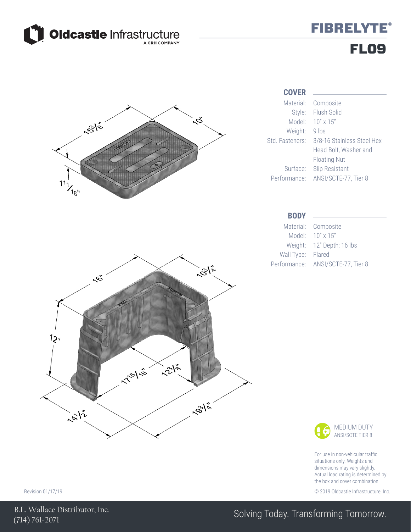

## **FIBRELYTE®** FL09



#### **COVER**

Composite Flush Solid 3/8-16 Stainless Steel Hex Head Bolt, Washer and Floating Nut

Composite 12" Depth: 16 lbs



For use in non-vehicular traffic situations only. Weights and dimensions may vary slightly. Actual load rating is determined by the box and cover combination.

Revision 01/17/19 © 2019 Oldcastle Infrastructure, Inc.

(714) 761-2071 B.L. Wallace Distributor, Inc.

### Solving Today. Transforming Tomorrow.